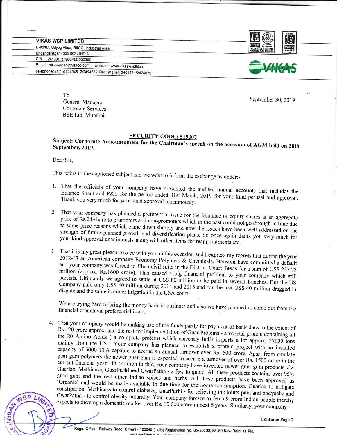**VIKAS WSP LIMITED** B-86/87, Udyog Vihar, RIICO, Industrial Area Sriganganagar - 335 002 / INDIA CIN: L24139HR1988PLC030300 E-mail : vikasvegan@yahoo.com, website : www.vikaswspltd.in Telephone: 91(154) 2494512/2494552 Fax: 91(154) 2494361/2475376





To General Manager Corporate Services BSE Ltd, Mumbai.

September 30,2019

SUDJect: Corporate Announcement for the Chairman's speech on the occasion of AGM held on 28th September, 2019.

Dear Sir,

 $N$ SP

This refers to the captioned subject and we waht to inform the exchange as under:\_

- 1. That the officials of your company have presented That the officials of your company have presented the audited annual accounts that includes the<br>Balance Sheet and P&L for the period ended 31st March 2010 for the 111 includes the Thank you very much for your kind approval unanimously. Balance Sheet and P&L for the period ended 31st March, 2019 for your kind perusal and approval.
- 2. That your company has planned a preferential issue for the issuance of equity shares at an aggregate Final your company has planned a preferential issue for the issuance of equity shares at an aggregate price of Rs.24/share to promoters and non-promoters which in the past could not go through in time due to some price rea strength of future planned growth and diversification plans. So once again thank you very much for your kind approval unanimously along with other items for reappointments etc. to some price reasons which came down sharply and now the issues have been well addressed on the your kind approval unanimously along with other items for reappointments etc.
- 3. That it is my great pleasure to be with you on this occasion and I express my regrets that during the year 2012-13 an American company Economy Polymers & Chemicals, Houston have committed a default and your company was million and your company was forced to file a civil suite in the District Court Texas for a sum of US\$ 227.73 million (approx. Rs.1600 crore). This caused a big financial problem to your company which still persists. Ultimately we Company paid only US\$ 40 million during 2014 and 2015 and for the rest US\$ 40 million dragged in dispute and the same is under litigation in the USA court. Ultimately we agreed to settle at US\$ 80 million to be paid in several tranches. But the US dispute and the same is under litigation in the USA court.

we are trying hard to bring the money back in business and also we have planned to come out from the financial crunch via preferential issue.

Rs.120 crore approx. and the rest for implementation of Guar Proteins - a vegetal protein containing all<br>the 20 Amino Acids (a complete protein) which 4. That your company would be making use of the funds partly for payment of bank dues to the extent of Rs.120 crore approx. and the rest for implementation of Guar Proteins - a vegetal protein containing all mainly the 20 Amino Acids ( a complete protein) which currently India imports a lot approx. 27000 tons mainly from the US. Your company has planned to establish a protein project with an installed capacity of 5000 TPA capable to guar gum polymers the newer guar gum is expected to accrue a turnover of over Rs. 1500 crore in the<br>current financial year. In addition to this was capacity of 5000 TPA capable to accrue an annual turnover over Rs. 500 crore. Apart from emulate current financial year. In addition to this, your company have invented newer guar gum products viz. Guarlax, Methicuss, guar gum and the rest other Indian spices and herbs. All these products have been approved as 'Organic' and would be made available in due time for the home consumption. Guarlax to mitigate GwarPatha - to control obesity naturally. Your company foresee to fetch 9 crore Indian people thereby constipation, Methicuss to control diabetes, GuarPurhi - for relieving the joints pain and bodyache and expects to develop a domestic market over Rs. 10,000 crore in next 5 years. Similarly, your company tr.h

Continue Page-2

Regd. Office : Railway Road, Siwani - 125046 (India) Registration No. 05-30300, 88-89 New Delhi as Plc.  $\sqrt{}$ iait our  $M$